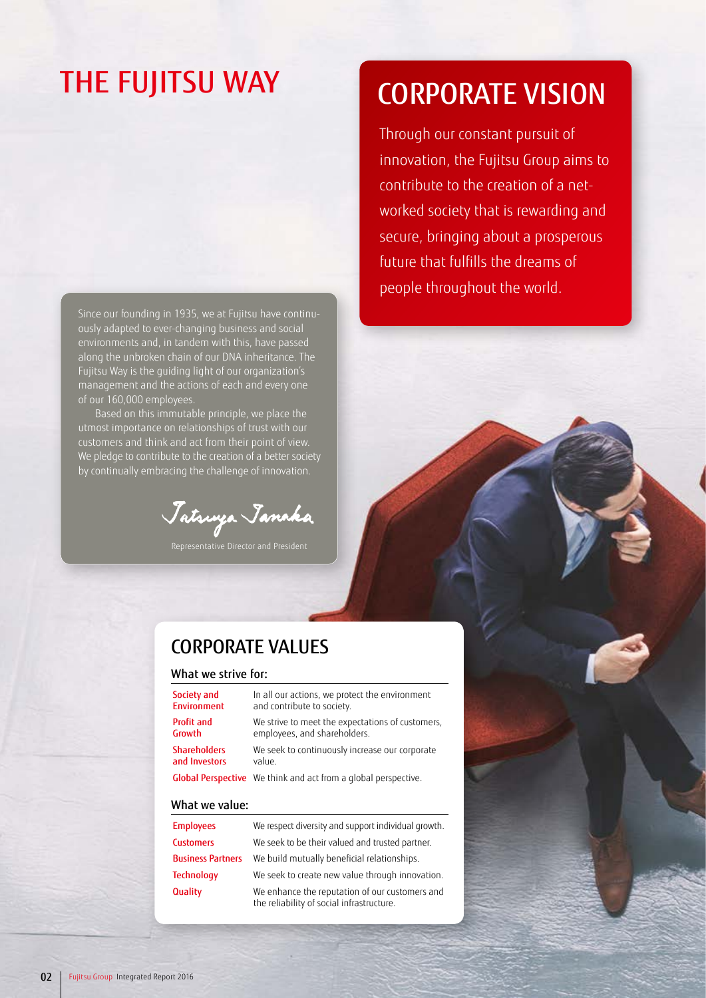# THE FUJITSU WAY

Since our founding in 1935, we at Fujitsu have continuously adapted to ever-changing business and social environments and, in tandem with this, have passed along the unbroken chain of our DNA inheritance. The Fujitsu Way is the guiding light of our organization's management and the actions of each and every one of our 160,000 employees.

Based on this immutable principle, we place the utmost importance on relationships of trust with our customers and think and act from their point of view. We pledge to contribute to the creation of a better society by continually embracing the challenge of innovation.

Jatsuya Janaka

# CORPORATE VISION

Through our constant pursuit of innovation, the Fujitsu Group aims to contribute to the creation of a networked society that is rewarding and secure, bringing about a prosperous future that fulfills the dreams of people throughout the world.

## CORPORATE VALUES

### What we strive for:

| Society and         | In all our actions, we protect the environment                 |  |
|---------------------|----------------------------------------------------------------|--|
| <b>Environment</b>  | and contribute to society.                                     |  |
| <b>Profit and</b>   | We strive to meet the expectations of customers,               |  |
| Growth              | employees, and shareholders.                                   |  |
| <b>Shareholders</b> | We seek to continuously increase our corporate                 |  |
| and Investors       | value.                                                         |  |
|                     | Global Perspective We think and act from a global perspective. |  |
|                     |                                                                |  |

#### What we value:

| <b>Employees</b>         | We respect diversity and support individual growth.                                         |  |
|--------------------------|---------------------------------------------------------------------------------------------|--|
| <b>Customers</b>         | We seek to be their valued and trusted partner.                                             |  |
| <b>Business Partners</b> | We build mutually beneficial relationships.                                                 |  |
| <b>Technology</b>        | We seek to create new value through innovation.                                             |  |
| Quality                  | We enhance the reputation of our customers and<br>the reliability of social infrastructure. |  |